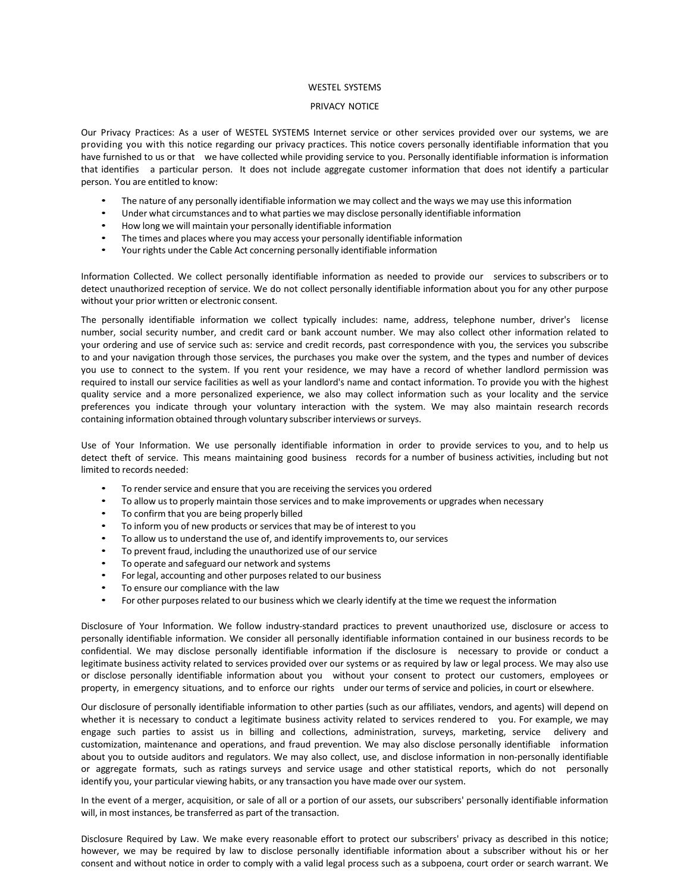## WESTEL SYSTEMS

## PRIVACY NOTICE

Our Privacy Practices: As a user of WESTEL SYSTEMS Internet service or other services provided over our systems, we are providing you with this notice regarding our privacy practices. This notice covers personally identifiable information that you have furnished to us or that we have collected while providing service to you. Personally identifiable information is information that identifies a particular person. It does not include aggregate customer information that does not identify a particular person. You are entitled to know:

- The nature of any personally identifiable information we may collect and the ways we may use this information
- Under what circumstances and to what parties we may disclose personally identifiable information
- How long we will maintain your personally identifiable information
- The times and places where you may access your personally identifiable information
- Your rights under the Cable Act concerning personally identifiable information

Information Collected. We collect personally identifiable information as needed to provide our services to subscribers or to detect unauthorized reception of service. We do not collect personally identifiable information about you for any other purpose without your prior written or electronic consent.

The personally identifiable information we collect typically includes: name, address, telephone number, driver's license number, social security number, and credit card or bank account number. We may also collect other information related to your ordering and use of service such as: service and credit records, past correspondence with you, the services you subscribe to and your navigation through those services, the purchases you make over the system, and the types and number of devices you use to connect to the system. If you rent your residence, we may have a record of whether landlord permission was required to install our service facilities as well as your landlord's name and contact information. To provide you with the highest quality service and a more personalized experience, we also may collect information such as your locality and the service preferences you indicate through your voluntary interaction with the system. We may also maintain research records containing information obtained through voluntary subscriber interviews orsurveys.

Use of Your Information. We use personally identifiable information in order to provide services to you, and to help us detect theft of service. This means maintaining good business records for a number of business activities, including but not limited to records needed:

- To render service and ensure that you are receiving the services you ordered
- To allow us to properly maintain those services and to make improvements or upgrades when necessary
- To confirm that you are being properly billed
- To inform you of new products or services that may be of interest to you
- To allow us to understand the use of, and identify improvements to, our services
- To prevent fraud, including the unauthorized use of our service
- To operate and safeguard our network and systems
- For legal, accounting and other purposes related to our business
- To ensure our compliance with the law
- For other purposes related to our business which we clearly identify at the time we request the information

Disclosure of Your Information. We follow industry‐standard practices to prevent unauthorized use, disclosure or access to personally identifiable information. We consider all personally identifiable information contained in our business records to be confidential. We may disclose personally identifiable information if the disclosure is necessary to provide or conduct a legitimate business activity related to services provided over our systems or as required by law or legal process. We may also use or disclose personally identifiable information about you without your consent to protect our customers, employees or property, in emergency situations, and to enforce our rights under our terms of service and policies, in court or elsewhere.

Our disclosure of personally identifiable information to other parties (such as our affiliates, vendors, and agents) will depend on whether it is necessary to conduct a legitimate business activity related to services rendered to you. For example, we may engage such parties to assist us in billing and collections, administration, surveys, marketing, service delivery and customization, maintenance and operations, and fraud prevention. We may also disclose personally identifiable information about you to outside auditors and regulators. We may also collect, use, and disclose information in non-personally identifiable or aggregate formats, such as ratings surveys and service usage and other statistical reports, which do not personally identify you, your particular viewing habits, or any transaction you have made over oursystem.

In the event of a merger, acquisition, or sale of all or a portion of our assets, our subscribers' personally identifiable information will, in most instances, be transferred as part of the transaction.

Disclosure Required by Law. We make every reasonable effort to protect our subscribers' privacy as described in this notice; however, we may be required by law to disclose personally identifiable information about a subscriber without his or her consent and without notice in order to comply with a valid legal process such as a subpoena, court order or search warrant. We